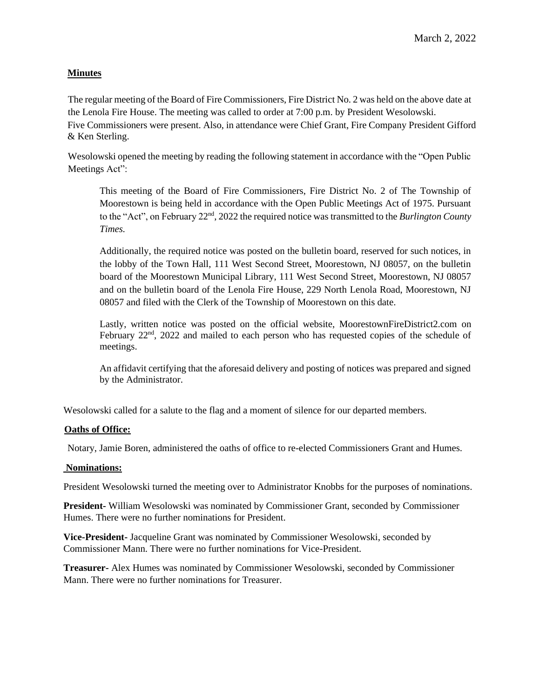# **Minutes**

The regular meeting of the Board of Fire Commissioners, Fire District No. 2 was held on the above date at the Lenola Fire House. The meeting was called to order at 7:00 p.m. by President Wesolowski. Five Commissioners were present. Also, in attendance were Chief Grant, Fire Company President Gifford & Ken Sterling.

Wesolowski opened the meeting by reading the following statement in accordance with the "Open Public Meetings Act":

This meeting of the Board of Fire Commissioners, Fire District No. 2 of The Township of Moorestown is being held in accordance with the Open Public Meetings Act of 1975. Pursuant to the "Act", on February 22<sup>nd</sup>, 2022 the required notice was transmitted to the *Burlington County Times.*

Additionally, the required notice was posted on the bulletin board, reserved for such notices, in the lobby of the Town Hall, 111 West Second Street, Moorestown, NJ 08057, on the bulletin board of the Moorestown Municipal Library, 111 West Second Street, Moorestown, NJ 08057 and on the bulletin board of the Lenola Fire House, 229 North Lenola Road, Moorestown, NJ 08057 and filed with the Clerk of the Township of Moorestown on this date.

Lastly, written notice was posted on the official website, MoorestownFireDistrict2.com on February 22<sup>nd</sup>, 2022 and mailed to each person who has requested copies of the schedule of meetings.

An affidavit certifying that the aforesaid delivery and posting of notices was prepared and signed by the Administrator.

Wesolowski called for a salute to the flag and a moment of silence for our departed members.

## **Oaths of Office:**

Notary, Jamie Boren, administered the oaths of office to re-elected Commissioners Grant and Humes.

## **Nominations:**

President Wesolowski turned the meeting over to Administrator Knobbs for the purposes of nominations.

**President-** William Wesolowski was nominated by Commissioner Grant, seconded by Commissioner Humes. There were no further nominations for President.

**Vice-President-** Jacqueline Grant was nominated by Commissioner Wesolowski, seconded by Commissioner Mann. There were no further nominations for Vice-President.

**Treasurer-** Alex Humes was nominated by Commissioner Wesolowski, seconded by Commissioner Mann. There were no further nominations for Treasurer.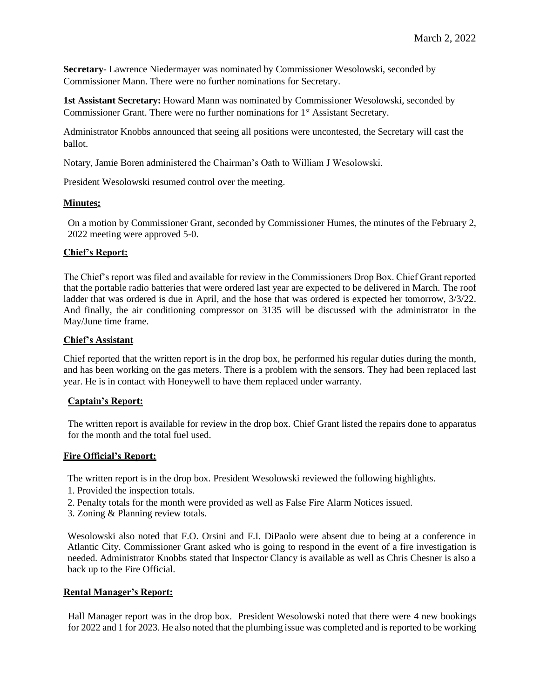**Secretary-** Lawrence Niedermayer was nominated by Commissioner Wesolowski, seconded by Commissioner Mann. There were no further nominations for Secretary.

**1st Assistant Secretary:** Howard Mann was nominated by Commissioner Wesolowski, seconded by Commissioner Grant. There were no further nominations for 1<sup>st</sup> Assistant Secretary.

Administrator Knobbs announced that seeing all positions were uncontested, the Secretary will cast the ballot.

Notary, Jamie Boren administered the Chairman's Oath to William J Wesolowski.

President Wesolowski resumed control over the meeting.

### **Minutes:**

On a motion by Commissioner Grant, seconded by Commissioner Humes, the minutes of the February 2, 2022 meeting were approved 5-0.

## **Chief's Report:**

The Chief's report was filed and available for review in the Commissioners Drop Box. Chief Grant reported that the portable radio batteries that were ordered last year are expected to be delivered in March. The roof ladder that was ordered is due in April, and the hose that was ordered is expected her tomorrow, 3/3/22. And finally, the air conditioning compressor on 3135 will be discussed with the administrator in the May/June time frame.

### **Chief's Assistant**

Chief reported that the written report is in the drop box, he performed his regular duties during the month, and has been working on the gas meters. There is a problem with the sensors. They had been replaced last year. He is in contact with Honeywell to have them replaced under warranty.

#### **Captain's Report:**

The written report is available for review in the drop box. Chief Grant listed the repairs done to apparatus for the month and the total fuel used.

#### **Fire Official's Report:**

The written report is in the drop box. President Wesolowski reviewed the following highlights.

- 1. Provided the inspection totals.
- 2. Penalty totals for the month were provided as well as False Fire Alarm Notices issued.
- 3. Zoning & Planning review totals.

Wesolowski also noted that F.O. Orsini and F.I. DiPaolo were absent due to being at a conference in Atlantic City. Commissioner Grant asked who is going to respond in the event of a fire investigation is needed. Administrator Knobbs stated that Inspector Clancy is available as well as Chris Chesner is also a back up to the Fire Official.

#### **Rental Manager's Report:**

Hall Manager report was in the drop box. President Wesolowski noted that there were 4 new bookings for 2022 and 1 for 2023. He also noted that the plumbing issue was completed and is reported to be working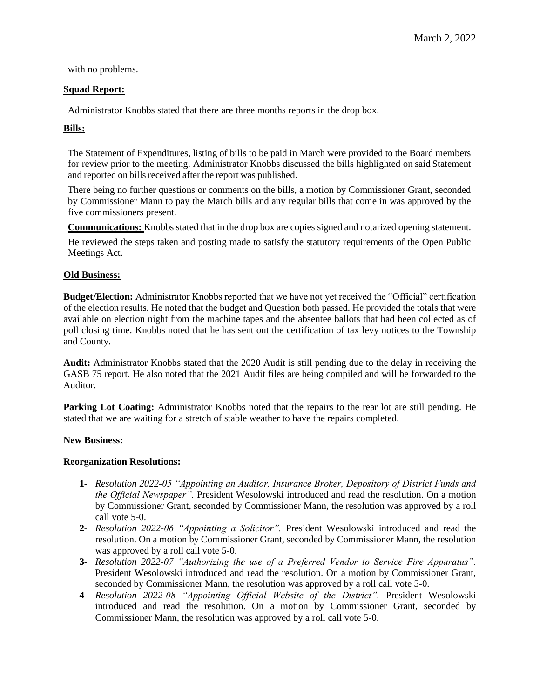with no problems.

## **Squad Report:**

Administrator Knobbs stated that there are three months reports in the drop box.

# **Bills:**

The Statement of Expenditures, listing of bills to be paid in March were provided to the Board members for review prior to the meeting. Administrator Knobbs discussed the bills highlighted on said Statement and reported on bills received after the report was published.

There being no further questions or comments on the bills, a motion by Commissioner Grant, seconded by Commissioner Mann to pay the March bills and any regular bills that come in was approved by the five commissioners present.

**Communications:** Knobbs stated that in the drop box are copies signed and notarized opening statement.

He reviewed the steps taken and posting made to satisfy the statutory requirements of the Open Public Meetings Act.

### **Old Business:**

**Budget/Election:** Administrator Knobbs reported that we have not yet received the "Official" certification of the election results. He noted that the budget and Question both passed. He provided the totals that were available on election night from the machine tapes and the absentee ballots that had been collected as of poll closing time. Knobbs noted that he has sent out the certification of tax levy notices to the Township and County.

**Audit:** Administrator Knobbs stated that the 2020 Audit is still pending due to the delay in receiving the GASB 75 report. He also noted that the 2021 Audit files are being compiled and will be forwarded to the Auditor.

Parking Lot Coating: Administrator Knobbs noted that the repairs to the rear lot are still pending. He stated that we are waiting for a stretch of stable weather to have the repairs completed.

#### **New Business:**

## **Reorganization Resolutions:**

- **1-** *Resolution 2022-05 "Appointing an Auditor, Insurance Broker, Depository of District Funds and the Official Newspaper".* President Wesolowski introduced and read the resolution. On a motion by Commissioner Grant, seconded by Commissioner Mann, the resolution was approved by a roll call vote 5-0.
- **2-** *Resolution 2022-06 "Appointing a Solicitor".* President Wesolowski introduced and read the resolution. On a motion by Commissioner Grant, seconded by Commissioner Mann, the resolution was approved by a roll call vote 5-0.
- **3-** *Resolution 2022-07 "Authorizing the use of a Preferred Vendor to Service Fire Apparatus".*  President Wesolowski introduced and read the resolution. On a motion by Commissioner Grant, seconded by Commissioner Mann, the resolution was approved by a roll call vote 5-0.
- **4-** *Resolution 2022-08 "Appointing Official Website of the District".* President Wesolowski introduced and read the resolution. On a motion by Commissioner Grant, seconded by Commissioner Mann, the resolution was approved by a roll call vote 5-0.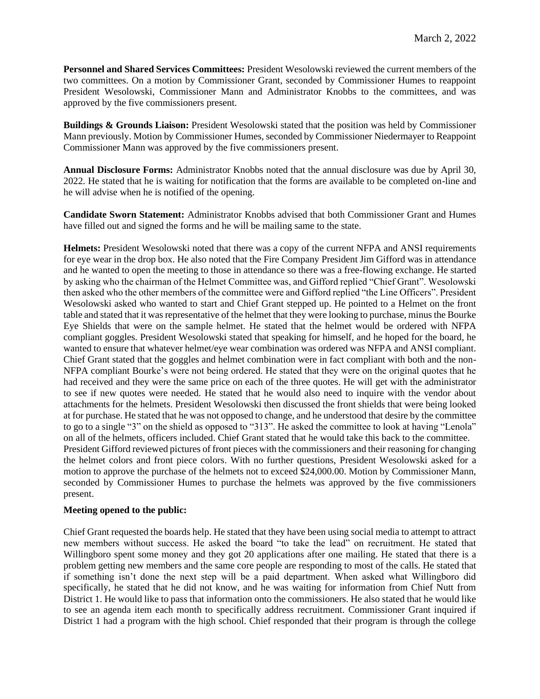**Personnel and Shared Services Committees:** President Wesolowski reviewed the current members of the two committees. On a motion by Commissioner Grant, seconded by Commissioner Humes to reappoint President Wesolowski, Commissioner Mann and Administrator Knobbs to the committees, and was approved by the five commissioners present.

**Buildings & Grounds Liaison:** President Wesolowski stated that the position was held by Commissioner Mann previously. Motion by Commissioner Humes, seconded by Commissioner Niedermayer to Reappoint Commissioner Mann was approved by the five commissioners present.

**Annual Disclosure Forms:** Administrator Knobbs noted that the annual disclosure was due by April 30, 2022. He stated that he is waiting for notification that the forms are available to be completed on-line and he will advise when he is notified of the opening.

**Candidate Sworn Statement:** Administrator Knobbs advised that both Commissioner Grant and Humes have filled out and signed the forms and he will be mailing same to the state.

**Helmets:** President Wesolowski noted that there was a copy of the current NFPA and ANSI requirements for eye wear in the drop box. He also noted that the Fire Company President Jim Gifford was in attendance and he wanted to open the meeting to those in attendance so there was a free-flowing exchange. He started by asking who the chairman of the Helmet Committee was, and Gifford replied "Chief Grant". Wesolowski then asked who the other members of the committee were and Gifford replied "the Line Officers". President Wesolowski asked who wanted to start and Chief Grant stepped up. He pointed to a Helmet on the front table and stated that it was representative of the helmet that they were looking to purchase, minus the Bourke Eye Shields that were on the sample helmet. He stated that the helmet would be ordered with NFPA compliant goggles. President Wesolowski stated that speaking for himself, and he hoped for the board, he wanted to ensure that whatever helmet/eye wear combination was ordered was NFPA and ANSI compliant. Chief Grant stated that the goggles and helmet combination were in fact compliant with both and the non-NFPA compliant Bourke's were not being ordered. He stated that they were on the original quotes that he had received and they were the same price on each of the three quotes. He will get with the administrator to see if new quotes were needed. He stated that he would also need to inquire with the vendor about attachments for the helmets. President Wesolowski then discussed the front shields that were being looked at for purchase. He stated that he was not opposed to change, and he understood that desire by the committee to go to a single "3" on the shield as opposed to "313". He asked the committee to look at having "Lenola" on all of the helmets, officers included. Chief Grant stated that he would take this back to the committee. President Gifford reviewed pictures of front pieces with the commissioners and their reasoning for changing the helmet colors and front piece colors. With no further questions, President Wesolowski asked for a motion to approve the purchase of the helmets not to exceed \$24,000.00. Motion by Commissioner Mann, seconded by Commissioner Humes to purchase the helmets was approved by the five commissioners present.

## **Meeting opened to the public:**

Chief Grant requested the boards help. He stated that they have been using social media to attempt to attract new members without success. He asked the board "to take the lead" on recruitment. He stated that Willingboro spent some money and they got 20 applications after one mailing. He stated that there is a problem getting new members and the same core people are responding to most of the calls. He stated that if something isn't done the next step will be a paid department. When asked what Willingboro did specifically, he stated that he did not know, and he was waiting for information from Chief Nutt from District 1. He would like to pass that information onto the commissioners. He also stated that he would like to see an agenda item each month to specifically address recruitment. Commissioner Grant inquired if District 1 had a program with the high school. Chief responded that their program is through the college